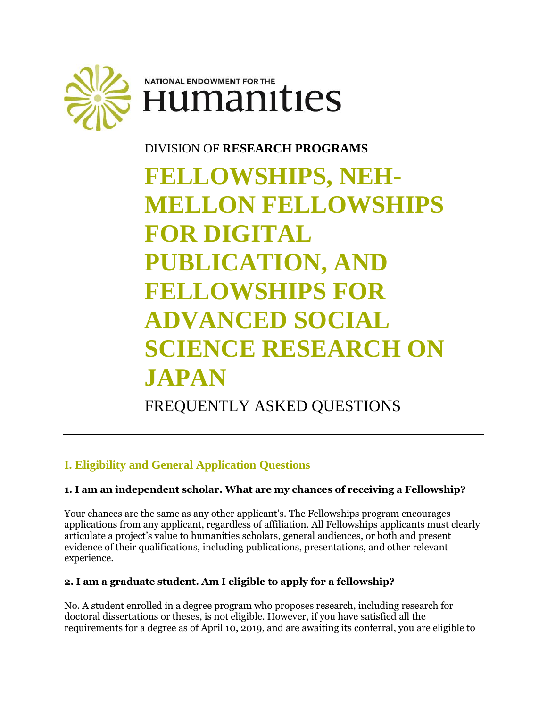



DIVISION OF **RESEARCH PROGRAMS**

**FELLOWSHIPS, NEH-MELLON FELLOWSHIPS FOR DIGITAL PUBLICATION, AND FELLOWSHIPS FOR ADVANCED SOCIAL SCIENCE RESEARCH ON JAPAN** FREQUENTLY ASKED QUESTIONS

# **I. Eligibility and General Application Questions**

# **1. I am an independent scholar. What are my chances of receiving a Fellowship?**

Your chances are the same as any other applicant's. The Fellowships program encourages applications from any applicant, regardless of affiliation. All Fellowships applicants must clearly articulate a project's value to humanities scholars, general audiences, or both and present evidence of their qualifications, including publications, presentations, and other relevant experience.

# **2. I am a graduate student. Am I eligible to apply for a fellowship?**

No. A student enrolled in a degree program who proposes research, including research for doctoral dissertations or theses, is not eligible. However, if you have satisfied all the requirements for a degree as of April 10, 2019, and are awaiting its conferral, you are eligible to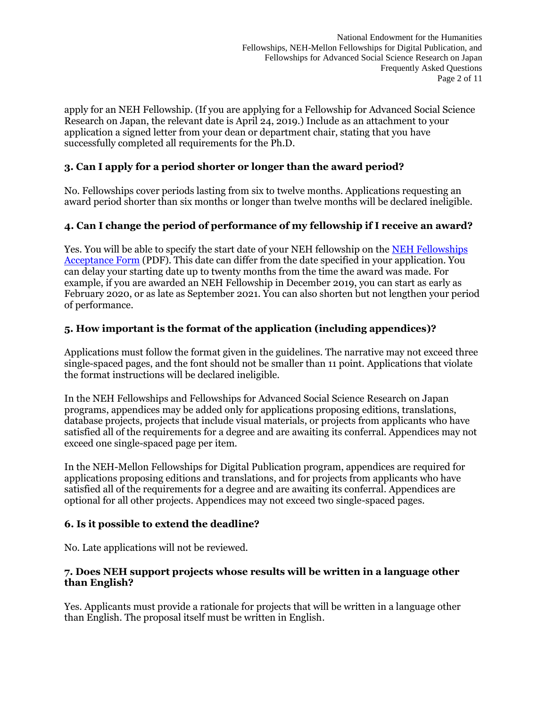apply for an NEH Fellowship. (If you are applying for a Fellowship for Advanced Social Science Research on Japan, the relevant date is April 24, 2019.) Include as an attachment to your application a signed letter from your dean or department chair, stating that you have successfully completed all requirements for the Ph.D.

# **3. Can I apply for a period shorter or longer than the award period?**

No. Fellowships cover periods lasting from six to twelve months. Applications requesting an award period shorter than six months or longer than twelve months will be declared ineligible.

# **4. Can I change the period of performance of my fellowship if I receive an award?**

Yes. You will be able to specify the start date of your NEH fellowship on the [NEH Fellowships](https://www.neh.gov/sites/default/files/inline-files/NEHFellowshipsAcceptanceFormFY2019.pdf)  [Acceptance Form](https://www.neh.gov/sites/default/files/inline-files/NEHFellowshipsAcceptanceFormFY2019.pdf) (PDF). This date can differ from the date specified in your application. You can delay your starting date up to twenty months from the time the award was made. For example, if you are awarded an NEH Fellowship in December 2019, you can start as early as February 2020, or as late as September 2021. You can also shorten but not lengthen your period of performance.

# **5. How important is the format of the application (including appendices)?**

Applications must follow the format given in the guidelines. The narrative may not exceed three single-spaced pages, and the font should not be smaller than 11 point. Applications that violate the format instructions will be declared ineligible.

In the NEH Fellowships and Fellowships for Advanced Social Science Research on Japan programs, appendices may be added only for applications proposing editions, translations, database projects, projects that include visual materials, or projects from applicants who have satisfied all of the requirements for a degree and are awaiting its conferral. Appendices may not exceed one single-spaced page per item.

In the NEH-Mellon Fellowships for Digital Publication program, appendices are required for applications proposing editions and translations, and for projects from applicants who have satisfied all of the requirements for a degree and are awaiting its conferral. Appendices are optional for all other projects. Appendices may not exceed two single-spaced pages.

# **6. Is it possible to extend the deadline?**

No. Late applications will not be reviewed.

### **7. Does NEH support projects whose results will be written in a language other than English?**

Yes. Applicants must provide a rationale for projects that will be written in a language other than English. The proposal itself must be written in English.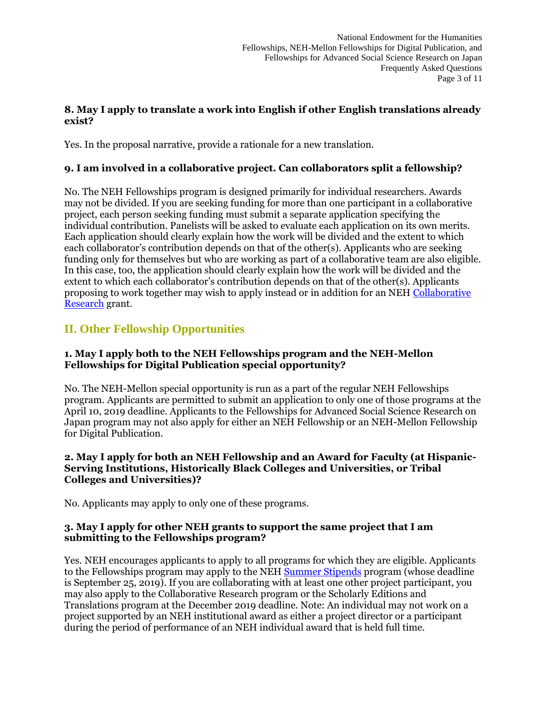## **8. May I apply to translate a work into English if other English translations already exist?**

Yes. In the proposal narrative, provide a rationale for a new translation.

## **9. I am involved in a collaborative project. Can collaborators split a fellowship?**

No. The NEH Fellowships program is designed primarily for individual researchers. Awards may not be divided. If you are seeking funding for more than one participant in a collaborative project, each person seeking funding must submit a separate application specifying the individual contribution. Panelists will be asked to evaluate each application on its own merits. Each application should clearly explain how the work will be divided and the extent to which each collaborator's contribution depends on that of the other(s). Applicants who are seeking funding only for themselves but who are working as part of a collaborative team are also eligible. In this case, too, the application should clearly explain how the work will be divided and the extent to which each collaborator's contribution depends on that of the other(s). Applicants proposing to work together may wish to apply instead or in addition for an NEH [Collaborative](http://www.neh.gov/grants/research/collaborative-research-grants)  [Research](http://www.neh.gov/grants/research/collaborative-research-grants) grant.

# **II. Other Fellowship Opportunities**

## **1. May I apply both to the NEH Fellowships program and the NEH-Mellon Fellowships for Digital Publication special opportunity?**

No. The NEH-Mellon special opportunity is run as a part of the regular NEH Fellowships program. Applicants are permitted to submit an application to only one of those programs at the April 10, 2019 deadline. Applicants to the Fellowships for Advanced Social Science Research on Japan program may not also apply for either an NEH Fellowship or an NEH-Mellon Fellowship for Digital Publication.

#### **2. May I apply for both an NEH Fellowship and an Award for Faculty (at Hispanic-Serving Institutions, Historically Black Colleges and Universities, or Tribal Colleges and Universities)?**

No. Applicants may apply to only one of these programs.

### **3. May I apply for other NEH grants to support the same project that I am submitting to the Fellowships program?**

Yes. NEH encourages applicants to apply to all programs for which they are eligible. Applicants to the Fellowships program may apply to the NEH [Summer Stipends](http://www.neh.gov/grants/research/summer-stipends) program (whose deadline is September 25, 2019). If you are collaborating with at least one other project participant, you may also apply to the Collaborative Research program or the Scholarly Editions and Translations program at the December 2019 deadline. Note: An individual may not work on a project supported by an NEH institutional award as either a project director or a participant during the period of performance of an NEH individual award that is held full time.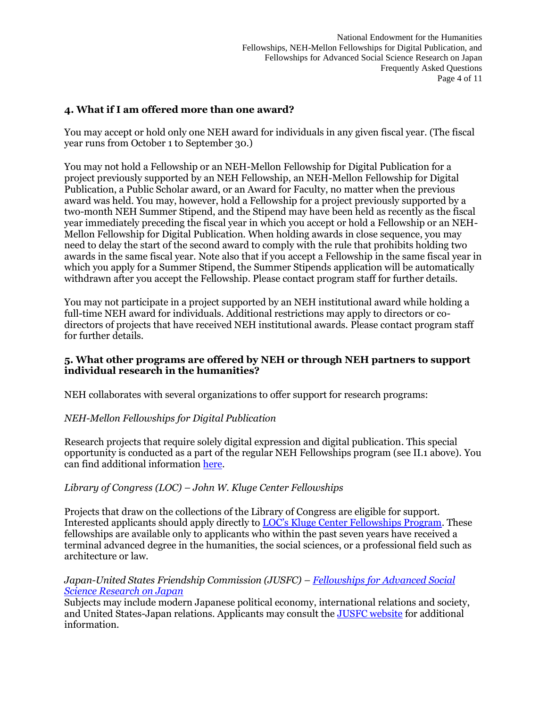National Endowment for the Humanities Fellowships, NEH-Mellon Fellowships for Digital Publication, and Fellowships for Advanced Social Science Research on Japan Frequently Asked Questions Page 4 of 11

## **4. What if I am offered more than one award?**

You may accept or hold only one NEH award for individuals in any given fiscal year. (The fiscal year runs from October 1 to September 30.)

You may not hold a Fellowship or an NEH-Mellon Fellowship for Digital Publication for a project previously supported by an NEH Fellowship, an NEH-Mellon Fellowship for Digital Publication, a Public Scholar award, or an Award for Faculty, no matter when the previous award was held. You may, however, hold a Fellowship for a project previously supported by a two-month NEH Summer Stipend, and the Stipend may have been held as recently as the fiscal year immediately preceding the fiscal year in which you accept or hold a Fellowship or an NEH-Mellon Fellowship for Digital Publication. When holding awards in close sequence, you may need to delay the start of the second award to comply with the rule that prohibits holding two awards in the same fiscal year. Note also that if you accept a Fellowship in the same fiscal year in which you apply for a Summer Stipend, the Summer Stipends application will be automatically withdrawn after you accept the Fellowship. Please contact program staff for further details.

You may not participate in a project supported by an NEH institutional award while holding a full-time NEH award for individuals. Additional restrictions may apply to directors or codirectors of projects that have received NEH institutional awards. Please contact program staff for further details.

### **5. What other programs are offered by NEH or through NEH partners to support individual research in the humanities?**

NEH collaborates with several organizations to offer support for research programs:

### *NEH-Mellon Fellowships for Digital Publication*

Research projects that require solely digital expression and digital publication. This special opportunity is conducted as a part of the regular NEH Fellowships program (see II.1 above). You can find additional information [here.](http://www.neh.gov/grants/research/neh-mellon-fellowships-digital-publication)

### *Library of Congress (LOC) – John W. Kluge Center Fellowships*

Projects that draw on the collections of the Library of Congress are eligible for support. Interested applicants should apply directly to [LOC's Kluge Center Fellowships Program](http://loc.gov/loc/kluge/fellowships/kluge.html). These fellowships are available only to applicants who within the past seven years have received a terminal advanced degree in the humanities, the social sciences, or a professional field such as architecture or law.

### *Japan-United States Friendship Commission (JUSFC) – Fellowships [for Advanced Social](http://www.neh.gov/grants/research/fellowships-advanced-social-science-research-japan)  [Science Research on Japan](http://www.neh.gov/grants/research/fellowships-advanced-social-science-research-japan)*

Subjects may include modern Japanese political economy, international relations and society, and United States-Japan relations. Applicants may consult the [JUSFC website](http://www.jusfc.gov/) for additional information.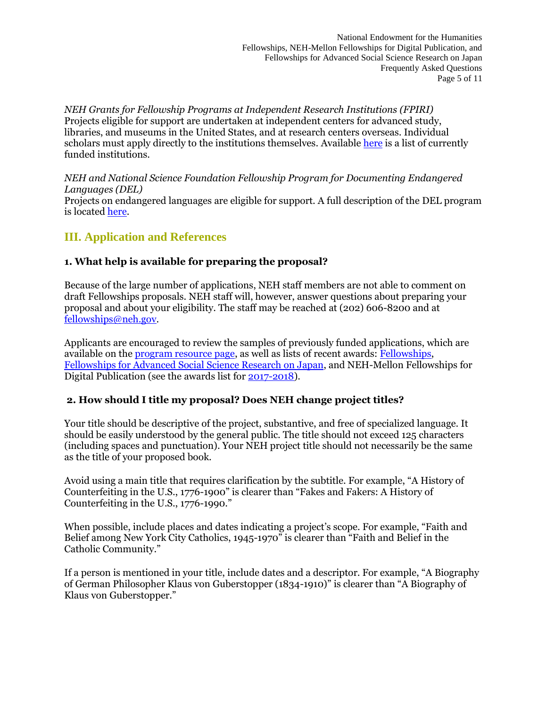*NEH Grants for Fellowship Programs at Independent Research Institutions (FPIRI)* Projects eligible for support are undertaken at independent centers for advanced study, libraries, and museums in the United States, and at research centers overseas. Individual scholars must apply directly to the institutions themselves. Available [here](http://www.neh.gov/divisions/research/fpiri-supported-fellowships) is a list of currently funded institutions.

*NEH and National Science Foundation Fellowship Program for Documenting Endangered Languages (DEL)* Projects on endangered languages are eligible for support. A full description of the DEL program is located [here.](https://www.nsf.gov/publications/pub_summ.jsp?ods_key=nsf16576&org=NSF)

# **III. Application and References**

# **1. What help is available for preparing the proposal?**

Because of the large number of applications, NEH staff members are not able to comment on draft Fellowships proposals. NEH staff will, however, answer questions about preparing your proposal and about your eligibility. The staff may be reached at (202) 606-8200 and at [fellowships@neh.gov.](mailto:fellowships@neh.gov)

Applicants are encouraged to review the samples of previously funded applications, which are available on the [program resource page,](http://www.neh.gov/grants/research/fellowships) as well as lists of recent awards: [Fellowships,](https://securegrants.neh.gov/publicquery/main.aspx?q=1&a=0&n=0&o=0&k=0&f=0&s=0&p=1&pv=1&d=0&y=1&yf=2014&yt=2017&prd=0&cov=0&prz=0&wp=0&pg=0&ob=year&or=DESC) [Fellowships for Advanced Social Science Research on Japan,](https://securegrants.neh.gov/PublicQuery/main.aspx?q=1&d=0&f=0&p=1&pv=207&s=0&y=0&n=0&o=0&t=0&ob=year&or=DESC) and NEH-Mellon Fellowships for Digital Publication (see the awards list for [2017-2018\)](https://www.neh.gov/sites/default/files/inline-files/NEH%20Mellon%20award%20list%202017-2018.pdf).

# **2. How should I title my proposal? Does NEH change project titles?**

Your title should be descriptive of the project, substantive, and free of specialized language. It should be easily understood by the general public. The title should not exceed 125 characters (including spaces and punctuation). Your NEH project title should not necessarily be the same as the title of your proposed book.

Avoid using a main title that requires clarification by the subtitle. For example, "A History of Counterfeiting in the U.S., 1776-1900" is clearer than "Fakes and Fakers: A History of Counterfeiting in the U.S., 1776-1990."

When possible, include places and dates indicating a project's scope. For example, "Faith and Belief among New York City Catholics, 1945-1970" is clearer than "Faith and Belief in the Catholic Community."

If a person is mentioned in your title, include dates and a descriptor. For example, "A Biography of German Philosopher Klaus von Guberstopper (1834-1910)" is clearer than "A Biography of Klaus von Guberstopper."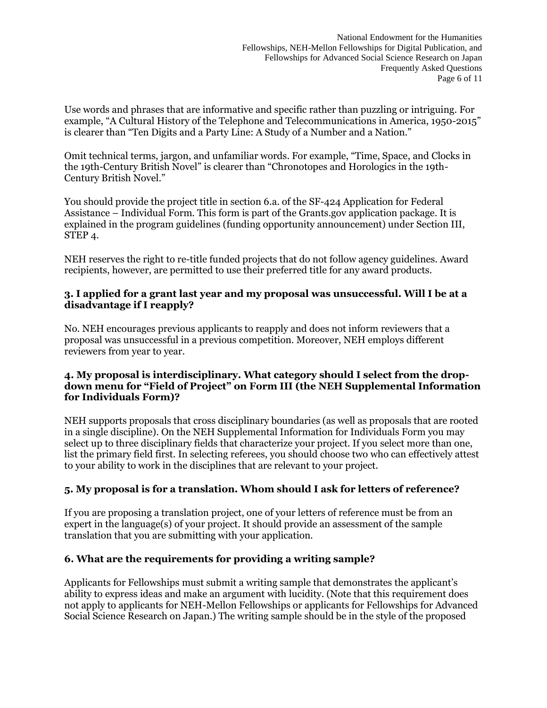Use words and phrases that are informative and specific rather than puzzling or intriguing. For example, "A Cultural History of the Telephone and Telecommunications in America, 1950-2015" is clearer than "Ten Digits and a Party Line: A Study of a Number and a Nation."

Omit technical terms, jargon, and unfamiliar words. For example, "Time, Space, and Clocks in the 19th-Century British Novel" is clearer than "Chronotopes and Horologics in the 19th-Century British Novel."

You should provide the project title in section 6.a. of the SF-424 Application for Federal Assistance – Individual Form. This form is part of the Grants.gov application package. It is explained in the program guidelines (funding opportunity announcement) under Section III, STEP 4.

NEH reserves the right to re-title funded projects that do not follow agency guidelines. Award recipients, however, are permitted to use their preferred title for any award products.

## **3. I applied for a grant last year and my proposal was unsuccessful. Will I be at a disadvantage if I reapply?**

No. NEH encourages previous applicants to reapply and does not inform reviewers that a proposal was unsuccessful in a previous competition. Moreover, NEH employs different reviewers from year to year.

### **4. My proposal is interdisciplinary. What category should I select from the dropdown menu for "Field of Project" on Form III (the NEH Supplemental Information for Individuals Form)?**

NEH supports proposals that cross disciplinary boundaries (as well as proposals that are rooted in a single discipline). On the NEH Supplemental Information for Individuals Form you may select up to three disciplinary fields that characterize your project. If you select more than one, list the primary field first. In selecting referees, you should choose two who can effectively attest to your ability to work in the disciplines that are relevant to your project.

# **5. My proposal is for a translation. Whom should I ask for letters of reference?**

If you are proposing a translation project, one of your letters of reference must be from an expert in the language(s) of your project. It should provide an assessment of the sample translation that you are submitting with your application.

# **6. What are the requirements for providing a writing sample?**

Applicants for Fellowships must submit a writing sample that demonstrates the applicant's ability to express ideas and make an argument with lucidity. (Note that this requirement does not apply to applicants for NEH-Mellon Fellowships or applicants for Fellowships for Advanced Social Science Research on Japan.) The writing sample should be in the style of the proposed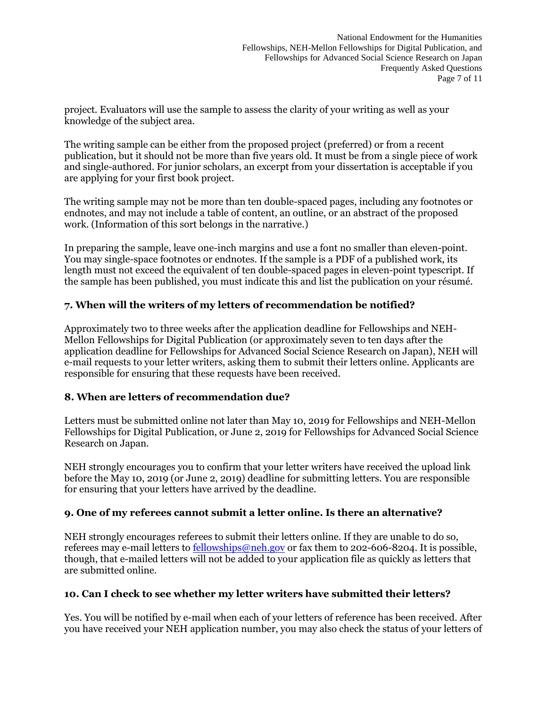project. Evaluators will use the sample to assess the clarity of your writing as well as your knowledge of the subject area.

The writing sample can be either from the proposed project (preferred) or from a recent publication, but it should not be more than five years old. It must be from a single piece of work and single-authored. For junior scholars, an excerpt from your dissertation is acceptable if you are applying for your first book project.

The writing sample may not be more than ten double-spaced pages, including any footnotes or endnotes, and may not include a table of content, an outline, or an abstract of the proposed work. (Information of this sort belongs in the narrative.)

In preparing the sample, leave one-inch margins and use a font no smaller than eleven-point. You may single-space footnotes or endnotes. If the sample is a PDF of a published work, its length must not exceed the equivalent of ten double-spaced pages in eleven-point typescript. If the sample has been published, you must indicate this and list the publication on your résumé.

# **7. When will the writers of my letters of recommendation be notified?**

Approximately two to three weeks after the application deadline for Fellowships and NEH-Mellon Fellowships for Digital Publication (or approximately seven to ten days after the application deadline for Fellowships for Advanced Social Science Research on Japan), NEH will e-mail requests to your letter writers, asking them to submit their letters online. Applicants are responsible for ensuring that these requests have been received.

# **8. When are letters of recommendation due?**

Letters must be submitted online not later than May 10, 2019 for Fellowships and NEH-Mellon Fellowships for Digital Publication, or June 2, 2019 for Fellowships for Advanced Social Science Research on Japan.

NEH strongly encourages you to confirm that your letter writers have received the upload link before the May 10, 2019 (or June 2, 2019) deadline for submitting letters. You are responsible for ensuring that your letters have arrived by the deadline.

### **9. One of my referees cannot submit a letter online. Is there an alternative?**

NEH strongly encourages referees to submit their letters online. If they are unable to do so, referees may e-mail letters to **fellowships@neh.gov** or fax them to 202-606-8204. It is possible, though, that e-mailed letters will not be added to your application file as quickly as letters that are submitted online.

### **10. Can I check to see whether my letter writers have submitted their letters?**

Yes. You will be notified by e-mail when each of your letters of reference has been received. After you have received your NEH application number, you may also check the status of your letters of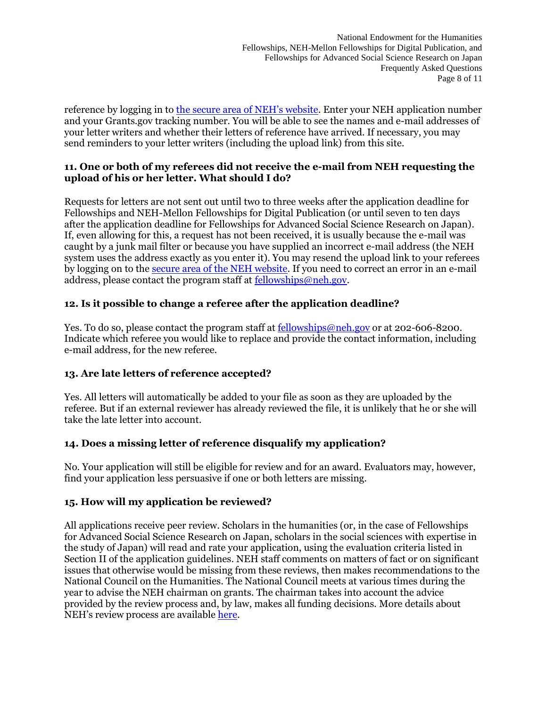reference by logging in to [the secure area of NEH's website](https://securegrants.neh.gov/AppStatus). Enter your NEH application number and your Grants.gov tracking number. You will be able to see the names and e-mail addresses of your letter writers and whether their letters of reference have arrived. If necessary, you may send reminders to your letter writers (including the upload link) from this site.

## **11. One or both of my referees did not receive the e-mail from NEH requesting the upload of his or her letter. What should I do?**

Requests for letters are not sent out until two to three weeks after the application deadline for Fellowships and NEH-Mellon Fellowships for Digital Publication (or until seven to ten days after the application deadline for Fellowships for Advanced Social Science Research on Japan). If, even allowing for this, a request has not been received, it is usually because the e-mail was caught by a junk mail filter or because you have supplied an incorrect e-mail address (the NEH system uses the address exactly as you enter it). You may resend the upload link to your referees by logging on to the [secure area of the NEH website.](https://securegrants.neh.gov/AppStatus/) If you need to correct an error in an e-mail address, please contact the program staff at  $f$ ellowships@neh.gov.

# **12. Is it possible to change a referee after the application deadline?**

Yes. To do so, please contact the program staff at [fellowships@neh.gov](mailto:fellowships@neh.gov) or at 202-606-8200. Indicate which referee you would like to replace and provide the contact information, including e-mail address, for the new referee.

# **13. Are late letters of reference accepted?**

Yes. All letters will automatically be added to your file as soon as they are uploaded by the referee. But if an external reviewer has already reviewed the file, it is unlikely that he or she will take the late letter into account.

# **14. Does a missing letter of reference disqualify my application?**

No. Your application will still be eligible for review and for an award. Evaluators may, however, find your application less persuasive if one or both letters are missing.

### **15. How will my application be reviewed?**

All applications receive peer review. Scholars in the humanities (or, in the case of Fellowships for Advanced Social Science Research on Japan, scholars in the social sciences with expertise in the study of Japan) will read and rate your application, using the evaluation criteria listed in Section II of the application guidelines. NEH staff comments on matters of fact or on significant issues that otherwise would be missing from these reviews, then makes recommendations to the National Council on the Humanities. The National Council meets at various times during the year to advise the NEH chairman on grants. The chairman takes into account the advice provided by the review process and, by law, makes all funding decisions. More details about NEH's review process are available [here.](https://www.neh.gov/grants/application-process)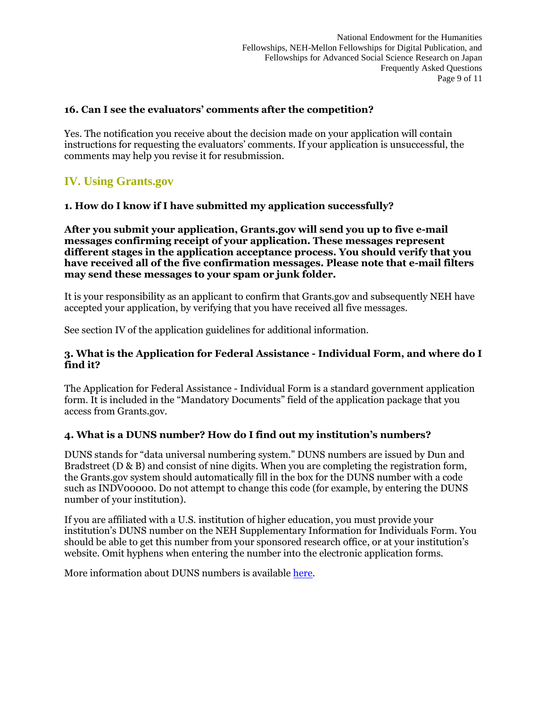## **16. Can I see the evaluators' comments after the competition?**

Yes. The notification you receive about the decision made on your application will contain instructions for requesting the evaluators' comments. If your application is unsuccessful, the comments may help you revise it for resubmission.

# **IV. Using Grants.gov**

## **1. How do I know if I have submitted my application successfully?**

**After you submit your application, Grants.gov will send you up to five e-mail messages confirming receipt of your application. These messages represent different stages in the application acceptance process. You should verify that you have received all of the five confirmation messages. Please note that e-mail filters may send these messages to your spam or junk folder.** 

It is your responsibility as an applicant to confirm that Grants.gov and subsequently NEH have accepted your application, by verifying that you have received all five messages.

See section IV of the application guidelines for additional information.

### **3. What is the Application for Federal Assistance - Individual Form, and where do I find it?**

The Application for Federal Assistance - Individual Form is a standard government application form. It is included in the "Mandatory Documents" field of the application package that you access from Grants.gov.

### **4. What is a DUNS number? How do I find out my institution's numbers?**

DUNS stands for "data universal numbering system." DUNS numbers are issued by Dun and Bradstreet (D & B) and consist of nine digits. When you are completing the registration form, the Grants.gov system should automatically fill in the box for the DUNS number with a code such as INDV00000. Do not attempt to change this code (for example, by entering the DUNS number of your institution).

If you are affiliated with a U.S. institution of higher education, you must provide your institution's DUNS number on the NEH Supplementary Information for Individuals Form. You should be able to get this number from your sponsored research office, or at your institution's website. Omit hyphens when entering the number into the electronic application forms.

More information about DUNS numbers is available [here.](https://www.neh.gov/grants/manage/duns-number-requirement)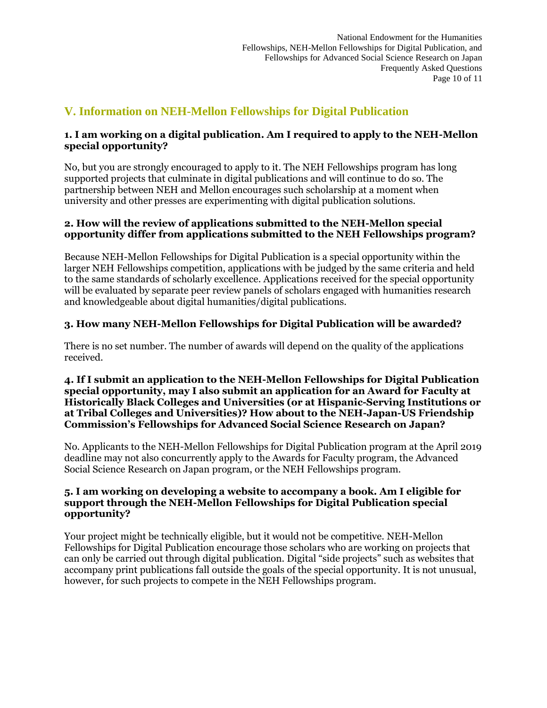# **V. Information on NEH-Mellon Fellowships for Digital Publication**

## **1. I am working on a digital publication. Am I required to apply to the NEH-Mellon special opportunity?**

No, but you are strongly encouraged to apply to it. The NEH Fellowships program has long supported projects that culminate in digital publications and will continue to do so. The partnership between NEH and Mellon encourages such scholarship at a moment when university and other presses are experimenting with digital publication solutions.

### **2. How will the review of applications submitted to the NEH-Mellon special opportunity differ from applications submitted to the NEH Fellowships program?**

Because NEH-Mellon Fellowships for Digital Publication is a special opportunity within the larger NEH Fellowships competition, applications with be judged by the same criteria and held to the same standards of scholarly excellence. Applications received for the special opportunity will be evaluated by separate peer review panels of scholars engaged with humanities research and knowledgeable about digital humanities/digital publications.

# **3. How many NEH-Mellon Fellowships for Digital Publication will be awarded?**

There is no set number. The number of awards will depend on the quality of the applications received.

#### **4. If I submit an application to the NEH-Mellon Fellowships for Digital Publication special opportunity, may I also submit an application for an Award for Faculty at Historically Black Colleges and Universities (or at Hispanic-Serving Institutions or at Tribal Colleges and Universities)? How about to the NEH-Japan-US Friendship Commission's Fellowships for Advanced Social Science Research on Japan?**

No. Applicants to the NEH-Mellon Fellowships for Digital Publication program at the April 2019 deadline may not also concurrently apply to the Awards for Faculty program, the Advanced Social Science Research on Japan program, or the NEH Fellowships program.

#### **5. I am working on developing a website to accompany a book. Am I eligible for support through the NEH-Mellon Fellowships for Digital Publication special opportunity?**

Your project might be technically eligible, but it would not be competitive. NEH-Mellon Fellowships for Digital Publication encourage those scholars who are working on projects that can only be carried out through digital publication. Digital "side projects" such as websites that accompany print publications fall outside the goals of the special opportunity. It is not unusual, however, for such projects to compete in the NEH Fellowships program.